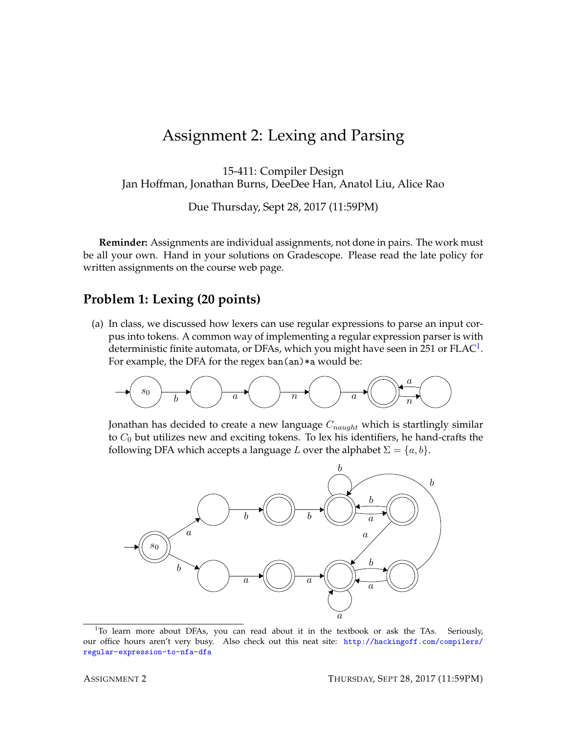## Assignment 2: Lexing and Parsing

15-411: Compiler Design Jan Hoffman, Jonathan Burns, DeeDee Han, Anatol Liu, Alice Rao

Due Thursday, Sept 28, 2017 (11:59PM)

**Reminder:** Assignments are individual assignments, not done in pairs. The work must be all your own. Hand in your solutions on Gradescope. Please read the late policy for written assignments on the course web page.

## **Problem 1: Lexing (20 points)**

(a) In class, we discussed how lexers can use regular expressions to parse an input corpus into tokens. A common way of implementing a regular expression parser is with deterministic finite automata, or DFAs, which you might have seen in 25[1](#page-0-0) or  $\text{FLAC}^1$ . For example, the DFA for the regex ban(an) \*a would be:

$$
\xrightarrow{\hspace{0.5cm}} s_0
$$

Jonathan has decided to create a new language  $C_{naught}$  which is startlingly similar to  $C_0$  but utilizes new and exciting tokens. To lex his identifiers, he hand-crafts the following DFA which accepts a language L over the alphabet  $\Sigma = \{a, b\}$ .



<span id="page-0-0"></span><sup>&</sup>lt;sup>1</sup>To learn more about DFAs, you can read about it in the textbook or ask the TAs. Seriously, our office hours aren't very busy. Also check out this neat site: [http://hackingoff.com/compilers/](http://hackingoff.com/compilers/regular-expression-to-nfa-dfa) [regular-expression-to-nfa-dfa](http://hackingoff.com/compilers/regular-expression-to-nfa-dfa)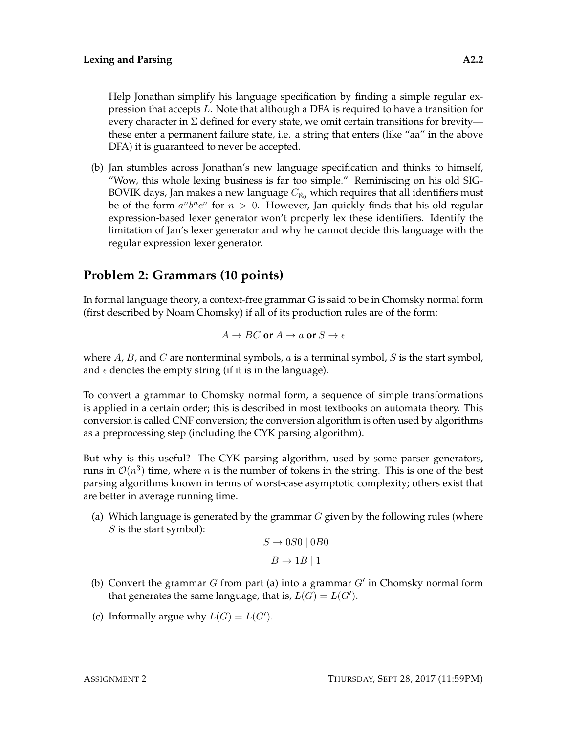Help Jonathan simplify his language specification by finding a simple regular expression that accepts L. Note that although a DFA is required to have a transition for every character in  $\Sigma$  defined for every state, we omit certain transitions for brevity these enter a permanent failure state, i.e. a string that enters (like "aa" in the above DFA) it is guaranteed to never be accepted.

(b) Jan stumbles across Jonathan's new language specification and thinks to himself, "Wow, this whole lexing business is far too simple." Reminiscing on his old SIG-BOVIK days, Jan makes a new language  $C_{\aleph_0}$  which requires that all identifiers must be of the form  $a^n b^n c^n$  for  $n > 0$ . However, Jan quickly finds that his old regular expression-based lexer generator won't properly lex these identifiers. Identify the limitation of Jan's lexer generator and why he cannot decide this language with the regular expression lexer generator.

## **Problem 2: Grammars (10 points)**

In formal language theory, a context-free grammar G is said to be in Chomsky normal form (first described by Noam Chomsky) if all of its production rules are of the form:

$$
A \to B C \text{ or } A \to a \text{ or } S \to \epsilon
$$

where A, B, and C are nonterminal symbols,  $a$  is a terminal symbol,  $S$  is the start symbol, and  $\epsilon$  denotes the empty string (if it is in the language).

To convert a grammar to Chomsky normal form, a sequence of simple transformations is applied in a certain order; this is described in most textbooks on automata theory. This conversion is called CNF conversion; the conversion algorithm is often used by algorithms as a preprocessing step (including the CYK parsing algorithm).

But why is this useful? The CYK parsing algorithm, used by some parser generators, runs in  $\mathcal{O}(n^3)$  time, where n is the number of tokens in the string. This is one of the best parsing algorithms known in terms of worst-case asymptotic complexity; others exist that are better in average running time.

(a) Which language is generated by the grammar  $G$  given by the following rules (where  $S$  is the start symbol):

```
S \rightarrow 0S0 \mid 0B0B \rightarrow 1B \mid 1
```
- (b) Convert the grammar  $G$  from part (a) into a grammar  $G'$  in Chomsky normal form that generates the same language, that is,  $L(G) = L(G')$ .
- (c) Informally argue why  $L(G) = L(G')$ .